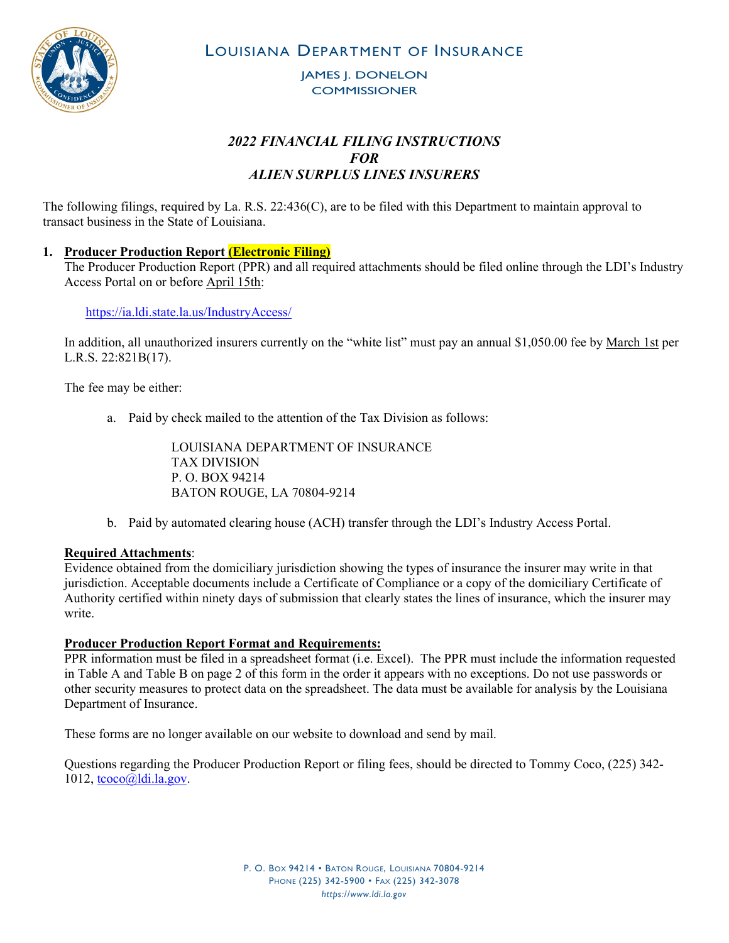

LOUISIANA DEPARTMENT OF INSURANCE

JAMES J. DONELON **COMMISSIONER** 

# *2022 FINANCIAL FILING INSTRUCTIONS FOR ALIEN SURPLUS LINES INSURERS*

The following filings, required by La. R.S. 22:436(C), are to be filed with this Department to maintain approval to transact business in the State of Louisiana.

# **1. Producer Production Report (Electronic Filing)**

The Producer Production Report (PPR) and all required attachments should be filed online through the LDI's Industry Access Portal on or before April 15th:

<https://ia.ldi.state.la.us/IndustryAccess/>

In addition, all unauthorized insurers currently on the "white list" must pay an annual \$1,050.00 fee by March 1st per L.R.S. 22:821B(17).

The fee may be either:

a. Paid by check mailed to the attention of the Tax Division as follows:

LOUISIANA DEPARTMENT OF INSURANCE TAX DIVISION P. O. BOX 94214 BATON ROUGE, LA 70804-9214

b. Paid by automated clearing house (ACH) transfer through the LDI's Industry Access Portal.

## **Required Attachments**:

Evidence obtained from the domiciliary jurisdiction showing the types of insurance the insurer may write in that jurisdiction. Acceptable documents include a Certificate of Compliance or a copy of the domiciliary Certificate of Authority certified within ninety days of submission that clearly states the lines of insurance, which the insurer may write.

#### **Producer Production Report Format and Requirements:**

PPR information must be filed in a spreadsheet format (i.e. Excel). The PPR must include the information requested in Table A and Table B on page 2 of this form in the order it appears with no exceptions. Do not use passwords or other security measures to protect data on the spreadsheet. The data must be available for analysis by the Louisiana Department of Insurance.

These forms are no longer available on our website to download and send by mail.

Questions regarding the Producer Production Report or filing fees, should be directed to Tommy Coco, (225) 342-  $1012$ ,  $tceo$  $@$ , $Idi$ , $la.gov$ .